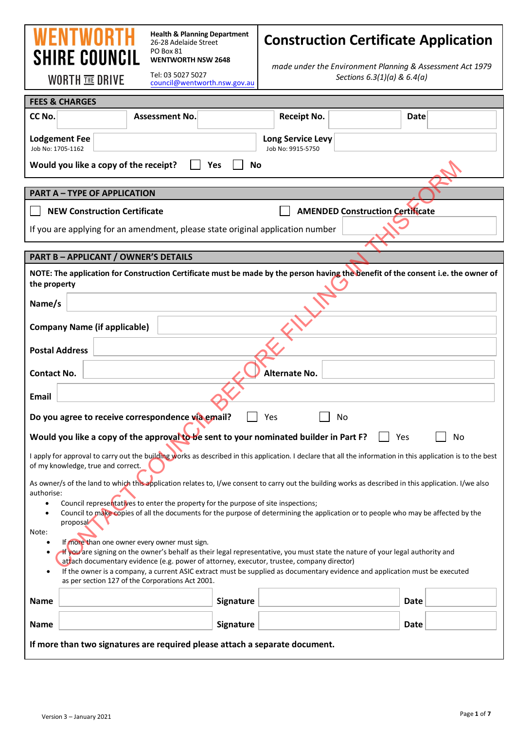# WENT **SHIRE COUNCIL**

**Health & Planning Department** 26-28 Adelaide Street PO Box 81 **WENTWORTH NSW 2648** 

## **Construction Certificate Application**

**WORTH THE DRIVE** 

Tel: 03 5027 5027 [council@wentworth.nsw.gov.au](mailto:council@wentworth.nsw.gov.au) *made under the Environment Planning & Assessment Act 1979 Sections 6.3(1)(a) & 6.4(a)*

| <b>FEES &amp; CHARGES</b>                                                                                                                                                                                                                                                                 |                                        |                                         |    |
|-------------------------------------------------------------------------------------------------------------------------------------------------------------------------------------------------------------------------------------------------------------------------------------------|----------------------------------------|-----------------------------------------|----|
| CC No.<br><b>Assessment No.</b>                                                                                                                                                                                                                                                           | <b>Receipt No.</b>                     | <b>Date</b>                             |    |
| <b>Lodgement Fee</b><br>Job No: 1705-1162                                                                                                                                                                                                                                                 | Long Service Levy<br>Job No: 9915-5750 |                                         |    |
| Would you like a copy of the receipt?<br>Yes                                                                                                                                                                                                                                              | No                                     |                                         |    |
| <b>PART A - TYPE OF APPLICATION</b>                                                                                                                                                                                                                                                       |                                        |                                         |    |
| <b>NEW Construction Certificate</b>                                                                                                                                                                                                                                                       |                                        | <b>AMENDED Construction Certificate</b> |    |
| If you are applying for an amendment, please state original application number                                                                                                                                                                                                            |                                        |                                         |    |
| <b>PART B - APPLICANT / OWNER'S DETAILS</b>                                                                                                                                                                                                                                               |                                        |                                         |    |
| NOTE: The application for Construction Certificate must be made by the person having the benefit of the consent i.e. the owner of<br>the property                                                                                                                                         |                                        |                                         |    |
| Name/s                                                                                                                                                                                                                                                                                    |                                        |                                         |    |
| <b>Company Name (if applicable)</b>                                                                                                                                                                                                                                                       |                                        |                                         |    |
| <b>Postal Address</b>                                                                                                                                                                                                                                                                     |                                        |                                         |    |
| <b>Contact No.</b>                                                                                                                                                                                                                                                                        | <b>Alternate No.</b>                   |                                         |    |
| <b>Email</b>                                                                                                                                                                                                                                                                              |                                        |                                         |    |
| Do you agree to receive correspondence via email?                                                                                                                                                                                                                                         | Yes                                    | No                                      |    |
| Would you like a copy of the approval to be sent to your nominated builder in Part F?                                                                                                                                                                                                     |                                        | Yes                                     | No |
| I apply for approval to carry out the building works as described in this application. I declare that all the information in this application is to the best<br>of my knowledge, true and correct.                                                                                        |                                        |                                         |    |
| As owner/s of the land to which this application relates to, I/we consent to carry out the building works as described in this application. I/we also<br>authorise:                                                                                                                       |                                        |                                         |    |
| Council representatives to enter the property for the purpose of site inspections;<br>Council to make copies of all the documents for the purpose of determining the application or to people who may be affected by the<br>$\bullet$                                                     |                                        |                                         |    |
| proposal<br>Note:                                                                                                                                                                                                                                                                         |                                        |                                         |    |
| If more than one owner every owner must sign.<br>If you are signing on the owner's behalf as their legal representative, you must state the nature of your legal authority and                                                                                                            |                                        |                                         |    |
| atrach documentary evidence (e.g. power of attorney, executor, trustee, company director)<br>If the owner is a company, a current ASIC extract must be supplied as documentary evidence and application must be executed<br>$\bullet$<br>as per section 127 of the Corporations Act 2001. |                                        |                                         |    |
| <b>Name</b>                                                                                                                                                                                                                                                                               | <b>Signature</b>                       | Date                                    |    |
| <b>Name</b>                                                                                                                                                                                                                                                                               | <b>Signature</b>                       | Date                                    |    |
| If more than two signatures are required please attach a separate document.                                                                                                                                                                                                               |                                        |                                         |    |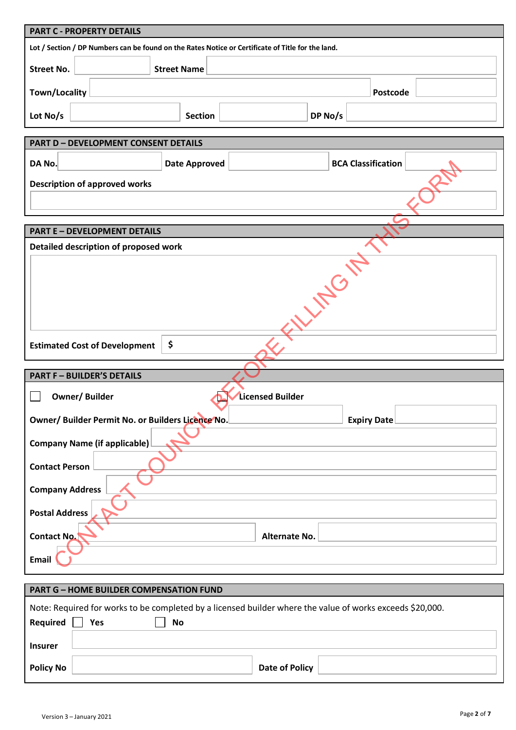| <b>PART C - PROPERTY DETAILS</b>                                                                          |                      |                         |                |                           |  |
|-----------------------------------------------------------------------------------------------------------|----------------------|-------------------------|----------------|---------------------------|--|
| Lot / Section / DP Numbers can be found on the Rates Notice or Certificate of Title for the land.         |                      |                         |                |                           |  |
| <b>Street No.</b>                                                                                         | <b>Street Name</b>   |                         |                |                           |  |
| <b>Town/Locality</b>                                                                                      |                      |                         |                | Postcode                  |  |
| Lot No/s                                                                                                  | <b>Section</b>       |                         | DP No/s        |                           |  |
| <b>PART D - DEVELOPMENT CONSENT DETAILS</b>                                                               |                      |                         |                |                           |  |
| DA No.                                                                                                    | <b>Date Approved</b> |                         |                | <b>BCA Classification</b> |  |
| <b>Description of approved works</b>                                                                      |                      |                         |                |                           |  |
|                                                                                                           |                      |                         |                |                           |  |
| <b>PART E - DEVELOPMENT DETAILS</b>                                                                       |                      |                         |                |                           |  |
| Detailed description of proposed work                                                                     |                      |                         |                |                           |  |
|                                                                                                           |                      |                         | <b>VITO IT</b> |                           |  |
|                                                                                                           |                      |                         |                |                           |  |
|                                                                                                           |                      |                         |                |                           |  |
|                                                                                                           |                      |                         |                |                           |  |
|                                                                                                           |                      |                         |                |                           |  |
| \$<br><b>Estimated Cost of Development</b>                                                                |                      |                         |                |                           |  |
| <b>PART F - BUILDER'S DETAILS</b>                                                                         |                      |                         |                |                           |  |
| <b>Owner/Builder</b>                                                                                      |                      | <b>Licensed Builder</b> |                |                           |  |
| Owner/ Builder Permit No. or Builders Licence No.                                                         |                      |                         |                | <b>Expiry Date</b>        |  |
|                                                                                                           |                      |                         |                |                           |  |
| <b>Company Name (if applicable)</b>                                                                       |                      |                         |                |                           |  |
| <b>Contact Person</b>                                                                                     |                      |                         |                |                           |  |
| <b>Company Address</b>                                                                                    |                      |                         |                |                           |  |
| <b>Postal Address</b>                                                                                     |                      |                         |                |                           |  |
| <b>Contact No.</b>                                                                                        |                      | Alternate No.           |                |                           |  |
| <b>Email</b>                                                                                              |                      |                         |                |                           |  |
| <b>PART G - HOME BUILDER COMPENSATION FUND</b>                                                            |                      |                         |                |                           |  |
| Note: Required for works to be completed by a licensed builder where the value of works exceeds \$20,000. |                      |                         |                |                           |  |
| Required<br>Yes<br><b>No</b>                                                                              |                      |                         |                |                           |  |
|                                                                                                           |                      |                         |                |                           |  |
| <b>Insurer</b>                                                                                            |                      |                         |                |                           |  |

| <b>Policy No</b> | Policy<br>Date |  |
|------------------|----------------|--|
|                  |                |  |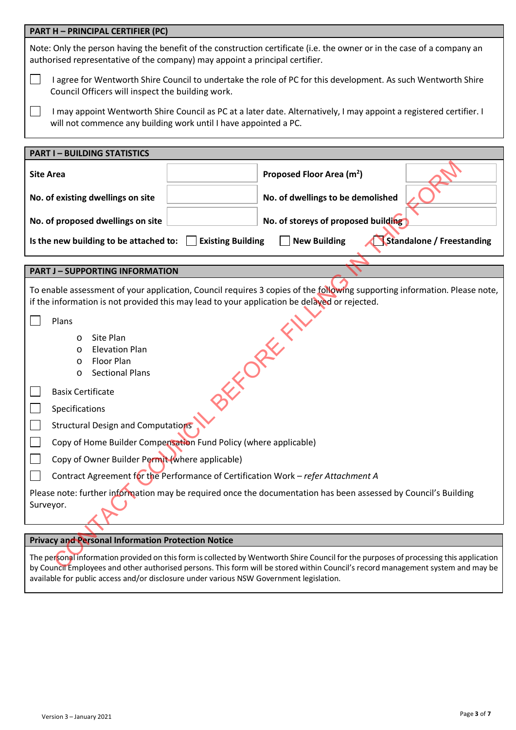| <b>PART H - PRINCIPAL CERTIFIER (PC)</b>                                                                                                                                                                                  |                                                                                                                                                                                                                                                                            |  |  |
|---------------------------------------------------------------------------------------------------------------------------------------------------------------------------------------------------------------------------|----------------------------------------------------------------------------------------------------------------------------------------------------------------------------------------------------------------------------------------------------------------------------|--|--|
| Note: Only the person having the benefit of the construction certificate (i.e. the owner or in the case of a company an<br>authorised representative of the company) may appoint a principal certifier.                   |                                                                                                                                                                                                                                                                            |  |  |
|                                                                                                                                                                                                                           | I agree for Wentworth Shire Council to undertake the role of PC for this development. As such Wentworth Shire<br>Council Officers will inspect the building work.                                                                                                          |  |  |
| I may appoint Wentworth Shire Council as PC at a later date. Alternatively, I may appoint a registered certifier. I<br>will not commence any building work until I have appointed a PC.                                   |                                                                                                                                                                                                                                                                            |  |  |
| <b>PART I-BUILDING STATISTICS</b>                                                                                                                                                                                         |                                                                                                                                                                                                                                                                            |  |  |
| <b>Site Area</b>                                                                                                                                                                                                          | Proposed Floor Area (m <sup>2</sup> )                                                                                                                                                                                                                                      |  |  |
| No. of existing dwellings on site                                                                                                                                                                                         | No. of dwellings to be demolished                                                                                                                                                                                                                                          |  |  |
| No. of proposed dwellings on site                                                                                                                                                                                         | No. of storeys of proposed building                                                                                                                                                                                                                                        |  |  |
| Is the new building to be attached to:                                                                                                                                                                                    | <b>New Building</b><br>Standalone / Freestanding<br><b>Existing Building</b>                                                                                                                                                                                               |  |  |
|                                                                                                                                                                                                                           |                                                                                                                                                                                                                                                                            |  |  |
| <b>PART J - SUPPORTING INFORMATION</b>                                                                                                                                                                                    |                                                                                                                                                                                                                                                                            |  |  |
| To enable assessment of your application, Council requires 3 copies of the following supporting information. Please note,<br>if the information is not provided this may lead to your application be delayed or rejected. |                                                                                                                                                                                                                                                                            |  |  |
| Plans                                                                                                                                                                                                                     |                                                                                                                                                                                                                                                                            |  |  |
| Site Plan<br>$\circ$                                                                                                                                                                                                      |                                                                                                                                                                                                                                                                            |  |  |
| <b>Elevation Plan</b><br>$\circ$                                                                                                                                                                                          |                                                                                                                                                                                                                                                                            |  |  |
| Floor Plan<br>O                                                                                                                                                                                                           |                                                                                                                                                                                                                                                                            |  |  |
| <b>Sectional Plans</b><br>$\circ$                                                                                                                                                                                         |                                                                                                                                                                                                                                                                            |  |  |
| EX OREX<br><b>Basix Certificate</b>                                                                                                                                                                                       |                                                                                                                                                                                                                                                                            |  |  |
| Specifications                                                                                                                                                                                                            |                                                                                                                                                                                                                                                                            |  |  |
| <b>Structural Design and Computations</b>                                                                                                                                                                                 |                                                                                                                                                                                                                                                                            |  |  |
| Copy of Home Builder Compensation Fund Policy (where applicable)                                                                                                                                                          |                                                                                                                                                                                                                                                                            |  |  |
| Copy of Owner Builder Permit (where applicable)                                                                                                                                                                           |                                                                                                                                                                                                                                                                            |  |  |
| Contract Agreement for the Performance of Certification Work - refer Attachment A                                                                                                                                         |                                                                                                                                                                                                                                                                            |  |  |
| Please note: further information may be required once the documentation has been assessed by Council's Building<br>Surveyor.                                                                                              |                                                                                                                                                                                                                                                                            |  |  |
| <b>Privacy and Personal Information Protection Notice</b>                                                                                                                                                                 |                                                                                                                                                                                                                                                                            |  |  |
|                                                                                                                                                                                                                           |                                                                                                                                                                                                                                                                            |  |  |
|                                                                                                                                                                                                                           | The personal information provided on this form is collected by Wentworth Shire Council for the purposes of processing this application<br>by Council Employees and other authorised persons. This form will be stored within Council's record management system and may be |  |  |

#### **Privacy and Personal Information Protection Notice**

The personal information provided on this form is collected by Wentworth Shire Council for the purposes of processing this application by Council Employees and other authorised persons. This form will be stored within Council's record management system and may be available for public access and/or disclosure under various NSW Government legislation.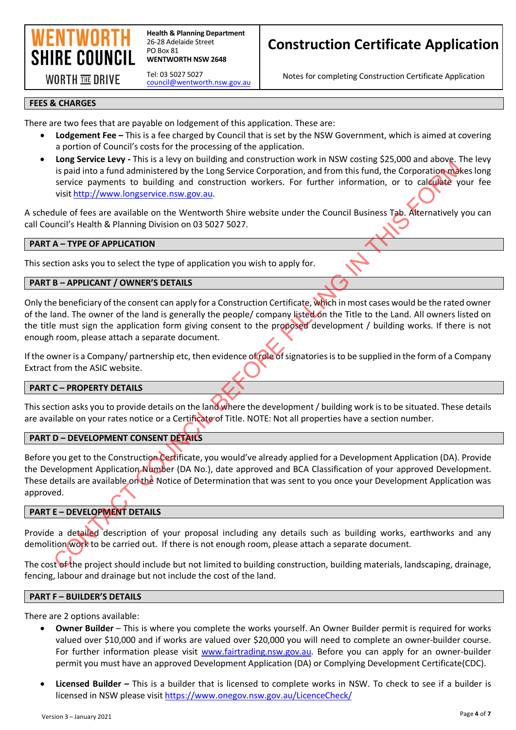

**Health & Planning Department** 26-28 Adelaide Street PO Box 81 **WENTWORTH NSW 2648** 

**WORTH THE DRIVE** 

Tel: 03 5027 5027 [council@wentworth.nsw.gov.au](mailto:council@wentworth.nsw.gov.au)

### **Construction Certificate Application**

Notes for completing Construction Certificate Application

#### **FEES & CHARGES**

There are two fees that are payable on lodgement of this application. These are:

- **Lodgement Fee** This is a fee charged by Council that is set by the NSW Government, which is aimed at covering a portion of Council's costs for the processing of the application.
- **Long Service Levy** This is a levy on building and construction work in NSW costing \$25,000 and above. The levy is paid into a fund administered by the Long Service Corporation, and from this fund, the Corporation makes long service payments to building and construction workers. For further information, or to calculate your fee visit http://www.longservice.nsw.gov.au.

A schedule of fees are available on the Wentworth Shire website under the Council Business Tab. Alternatively you can call Council's Health & Planning Division on 03 5027 5027.

#### **PART A – TYPE OF APPLICATION**

This section asks you to select the type of application you wish to apply for.

#### **PART B – APPLICANT / OWNER'S DETAILS**

Only the beneficiary of the consent can apply for a Construction Certificate, which in most cases would be the rated owner of the land. The owner of the land is generally the people/ company listed on the Title to the Land. All owners listed on the title must sign the application form giving consent to the proposed development / building works. If there is not enough room, please attach a separate document.

If the owner is a Company/ partnership etc, then evidence of role of signatories is to be supplied in the form of a Company Extract from the ASIC website.

#### **PART C – PROPERTY DETAILS**

This section asks you to provide details on the land where the development / building work is to be situated. These details are available on your rates notice or a Certificate of Title. NOTE: Not all properties have a section number.

#### **PART D – DEVELOPMENT CONSENT DETAILS**

Before you get to the Construction Certificate, you would've already applied for a Development Application (DA). Provide the Development Application Number (DA No.), date approved and BCA Classification of your approved Development. These details are available on the Notice of Determination that was sent to you once your Development Application was approved. Counter the activation of the mail is a service controllant and controllant and the controllant and the controllant and the controllant and the controllant and the controllant and the controllant and the controllant of the

#### **PART E – DEVELOPMENT DETAILS**

Provide a detailed description of your proposal including any details such as building works, earthworks and any demolition work to be carried out. If there is not enough room, please attach a separate document.

The cost of the project should include but not limited to building construction, building materials, landscaping, drainage, fencing, labour and drainage but not include the cost of the land.

### **PART F – BUILDER'S DETAILS**

There are 2 options available:

- **Owner Builder** This is where you complete the works yourself. An Owner Builder permit is required for works valued over \$10,000 and if works are valued over \$20,000 you will need to complete an owner-builder course. For further information please visit www.fairtrading.nsw.gov.au. Before you can apply for an owner-builder permit you must have an approved Development Application (DA) or Complying Development Certificate(CDC).
- **Licensed Builder –** This is a builder that is licensed to complete works in NSW. To check to see if a builder is licensed in NSW please visit<https://www.onegov.nsw.gov.au/LicenceCheck/>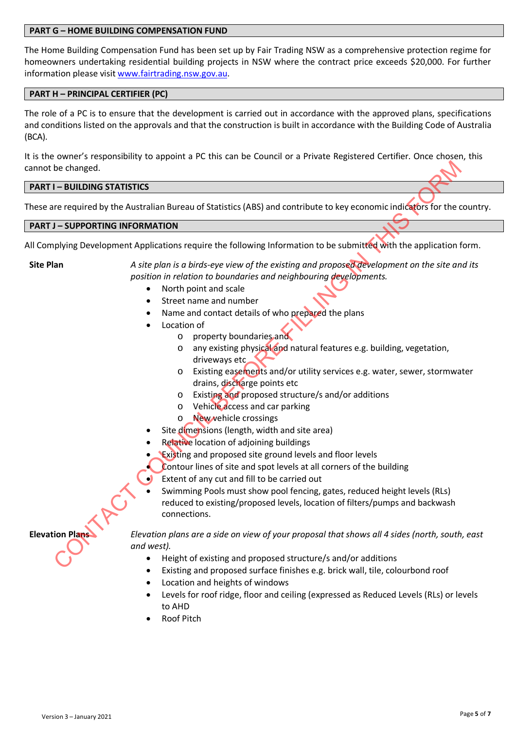#### **PART G – HOME BUILDING COMPENSATION FUND**

The Home Building Compensation Fund has been set up by Fair Trading NSW as a comprehensive protection regime for homeowners undertaking residential building projects in NSW where the contract price exceeds \$20,000. For further information please visit www.fairtrading.nsw.gov.au.

#### **PART H – PRINCIPAL CERTIFIER (PC)**

The role of a PC is to ensure that the development is carried out in accordance with the approved plans, specifications and conditions listed on the approvals and that the construction is built in accordance with the Building Code of Australia (BCA).

It is the owner's responsibility to appoint a PC this can be Council or a Private Registered Certifier. Once chosen, this cannot be changed.

#### **PART I – BUILDING STATISTICS**

These are required by the Australian Bureau of Statistics (ABS) and contribute to key economic indicators for the country.

#### **PART J – SUPPORTING INFORMATION**

All Complying Development Applications require the following Information to be submitted with the application form.

**Site Plan** *A site plan is a birds-eye view of the existing and proposed development on the site and its position in relation to boundaries and neighbouring developments.* 

- North point and scale
- Street name and number
- Name and contact details of who prepared the plans
- Location of
	- o property boundaries and
	- o any existing physical and natural features e.g. building, vegetation, driveways etc
	- o Existing easements and/or utility services e.g. water, sewer, stormwater drains, discharge points etc
	- o Existing and proposed structure/s and/or additions
	- o Vehicle access and car parking
	- o New vehicle crossings
- Site dimensions (length, width and site area)
- Relative location of adioining buildings
- **Existing and proposed site ground levels and floor levels**
- Contour lines of site and spot levels at all corners of the building
- Extent of any cut and fill to be carried out
- Swimming Pools must show pool fencing, gates, reduced height levels (RLs) reduced to existing/proposed levels, location of filters/pumps and backwash connections. be changed.<br>
The required by the Australian Bureau of Statistics (ABS) and contribute to key economic indicators for the contributions required to the station of the existing of the contribution of the station of the exist

**Elevation Plans** *Elevation plans are a side on view of your proposal that shows all 4 sides (north, south, east and west).*

- Height of existing and proposed structure/s and/or additions
- Existing and proposed surface finishes e.g. brick wall, tile, colourbond roof
- Location and heights of windows
- Levels for roof ridge, floor and ceiling (expressed as Reduced Levels (RLs) or levels to AHD
- Roof Pitch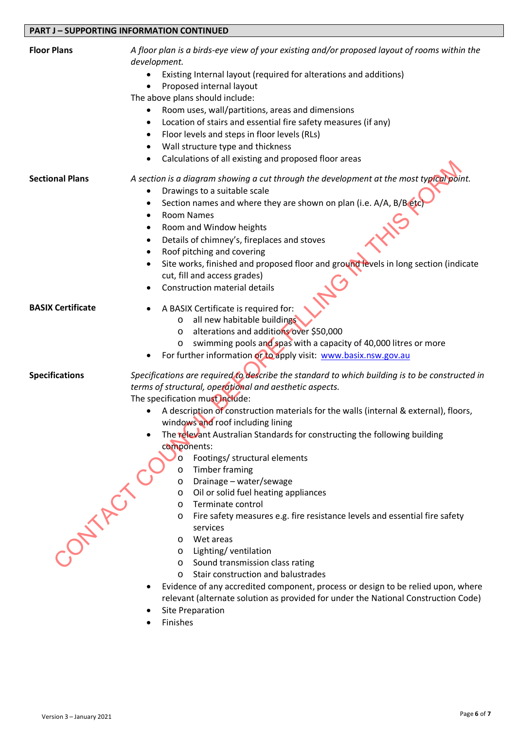#### **PART J – SUPPORTING INFORMATION CONTINUED**

| <b>Floor Plans</b>       | A floor plan is a birds-eye view of your existing and/or proposed layout of rooms within the<br>development.             |
|--------------------------|--------------------------------------------------------------------------------------------------------------------------|
|                          | Existing Internal layout (required for alterations and additions)<br>Proposed internal layout                            |
|                          | The above plans should include:                                                                                          |
|                          | Room uses, wall/partitions, areas and dimensions                                                                         |
|                          | Location of stairs and essential fire safety measures (if any)<br>$\bullet$                                              |
|                          | Floor levels and steps in floor levels (RLs)<br>$\bullet$                                                                |
|                          | Wall structure type and thickness<br>٠                                                                                   |
|                          | Calculations of all existing and proposed floor areas<br>٠                                                               |
| <b>Sectional Plans</b>   | A section is a diagram showing a cut through the development at the most typical point.                                  |
|                          | Drawings to a suitable scale<br>٠                                                                                        |
|                          | Section names and where they are shown on plan (i.e. A/A, B/B etc<br>$\bullet$                                           |
|                          | <b>Room Names</b><br>٠                                                                                                   |
|                          | Room and Window heights<br>٠                                                                                             |
|                          | Details of chimney's, fireplaces and stoves<br>٠                                                                         |
|                          | Roof pitching and covering                                                                                               |
|                          | Site works, finished and proposed floor and ground levels in long section (indicate<br>٠<br>cut, fill and access grades) |
|                          | <b>Construction material details</b>                                                                                     |
|                          |                                                                                                                          |
| <b>BASIX Certificate</b> | A BASIX Certificate is required for:                                                                                     |
|                          | all new habitable buildings<br>O                                                                                         |
|                          | alterations and additions over \$50,000<br>$\circ$                                                                       |
|                          | swimming pools and spas with a capacity of 40,000 litres or more<br>O                                                    |
|                          | For further information or to apply visit: www.basix.nsw.gov.au                                                          |
| <b>Specifications</b>    | Specifications are required to describe the standard to which building is to be constructed in                           |
|                          | terms of structural, operational and aesthetic aspects.                                                                  |
|                          | The specification must include:                                                                                          |
|                          | A description of construction materials for the walls (internal & external), floors,                                     |
|                          | windows and roof including lining                                                                                        |
|                          | The relevant Australian Standards for constructing the following building<br>components:                                 |
|                          | Footings/ structural elements<br>$\circ$                                                                                 |
|                          | <b>Timber framing</b><br>$\circ$                                                                                         |
|                          | Drainage - water/sewage<br>O                                                                                             |
|                          | Oil or solid fuel heating appliances<br>O                                                                                |
|                          | Terminate control<br>O                                                                                                   |
|                          | Fire safety measures e.g. fire resistance levels and essential fire safety<br>O                                          |
| -ONTARCY                 | services                                                                                                                 |
|                          | Wet areas<br>O<br>Lighting/ventilation                                                                                   |
|                          | $\circ$<br>Sound transmission class rating<br>O                                                                          |
|                          | Stair construction and balustrades<br>$\circ$                                                                            |
|                          | Evidence of any accredited component, process or design to be relied upon, where<br>$\bullet$                            |
|                          | relevant (alternate solution as provided for under the National Construction Code)                                       |
|                          | <b>Site Preparation</b>                                                                                                  |
|                          | Finishes                                                                                                                 |
|                          |                                                                                                                          |